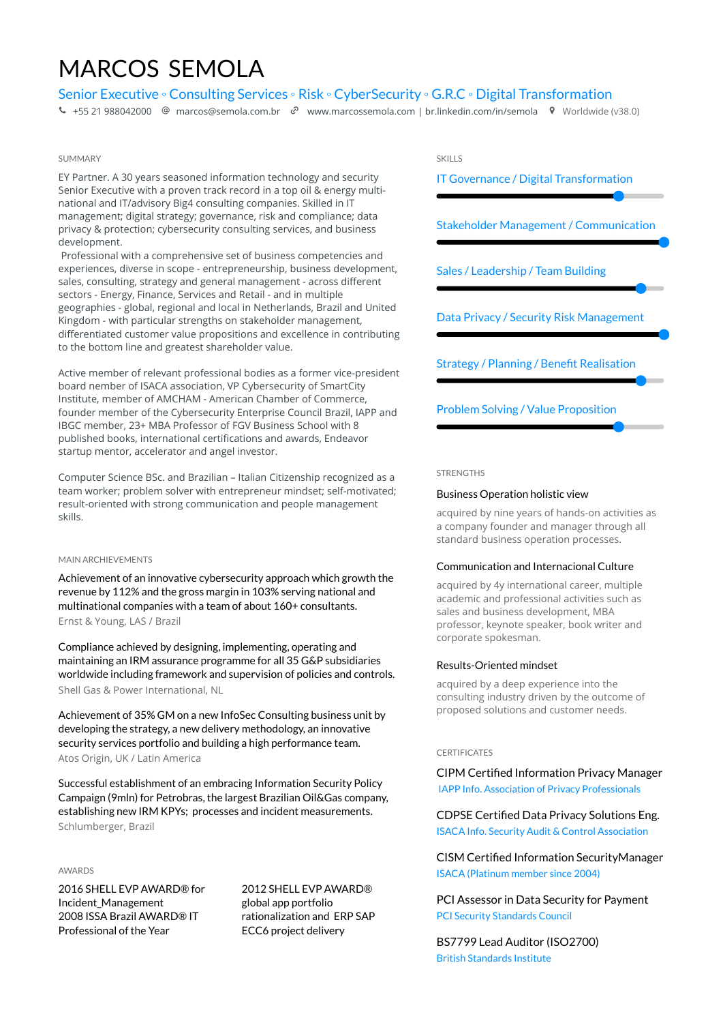# MARCOS SEMOLA

### Senior Executive ◦ Consulting Services ◦ Risk ◦ CyberSecurity ◦ G.R.C ◦ Digital Transformation

 $\bullet$  [+55 21 988042000](tel:+55 21 988042000)  $\circledcirc$  [marcos@semola.com.br](mailto:marcos@semola.com.br)  $\circledcirc$  www.marcossemola.com | br.linkedin.com/in/semola  $\circledcirc$  Worldwide (v38.0)

### SHAMMARY

EY Partner. A 30 years seasoned information technology and security Senior Executive with a proven track record in a top oil & energy multinational and IT/advisory Big4 consulting companies. Skilled in IT management; digital strategy; governance, risk and compliance; data privacy & protection; cybersecurity consulting services, and business development.

 Professional with a comprehensive set of business competencies and experiences, diverse in scope - entrepreneurship, business development, sales, consulting, strategy and general management - across different sectors - Energy, Finance, Services and Retail - and in multiple geographies - global, regional and local in Netherlands, Brazil and United Kingdom - with particular strengths on stakeholder management, differentiated customer value propositions and excellence in contributing to the bottom line and greatest shareholder value.

Active member of relevant professional bodies as a former vice-president board nember of ISACA association, VP Cybersecurity of SmartCity Institute, member of AMCHAM - American Chamber of Commerce, founder member of the Cybersecurity Enterprise Council Brazil, IAPP and IBGC member, 23+ MBA Professor of FGV Business School with 8 published books, international certifications and awards, Endeavor startup mentor, accelerator and angel investor.

Computer Science BSc. and Brazilian – Italian Citizenship recognized as a team worker; problem solver with entrepreneur mindset; self-motivated; result-oriented with strong communication and people management skills.

#### MAIN ARCHIEVEMENTS

Achievement of an innovative cybersecurity approach which growth the revenue by 112% and the gross margin in 103% serving national and multinational companies with a team of about 160+ consultants. Ernst & Young, LAS / Brazil

Compliance achieved by designing, implementing, operating and maintaining an IRM assurance programme for all 35 G&P subsidiaries worldwide including framework and supervision of policies and controls. Shell Gas & Power International, NL

Achievement of 35% GM on a new InfoSec Consulting business unit by developing the strategy, a new delivery methodology, an innovative security services portfolio and building a high performance team. Atos Origin, UK / Latin America

Successful establishment of an embracing Information Security Policy Campaign (9mln) for Petrobras, the largest Brazilian Oil&Gas company, establishing new IRM KPYs; processes and incident measurements. Schlumberger, Brazil

### AWARDS

2016 SHELL EVP AWARD® for Incident\_Management 2008 ISSA Brazil AWARD® IT Professional of the Year

2012 SHELL EVP AWARD® global app portfolio rationalization and ERP SAP ECC6 project delivery



Strategy / Planning / Benefit Realisation

Problem Solving / Value Proposition

#### STRENGTHS

#### Business Operation holistic view

acquired by nine years of hands-on activities as a company founder and manager through all standard business operation processes.

### Communication and Internacional Culture

acquired by 4y international career, multiple academic and professional activities such as sales and business development, MBA professor, keynote speaker, book writer and corporate spokesman.

### Results-Oriented mindset

acquired by a deep experience into the consulting industry driven by the outcome of proposed solutions and customer needs.

#### **CERTIFICATES**

CIPM Certified Information Privacy Manager IAPP Info. Association of Privacy Professionals

CDPSE Certified Data Privacy Solutions Eng. ISACA Info. Security Audit & Control Association

CISM Certified Information SecurityManager ISACA (Platinum member since 2004)

PCI Assessor in Data Security for Payment PCI Security Standards Council

BS7799 Lead Auditor (ISO2700) British Standards Institute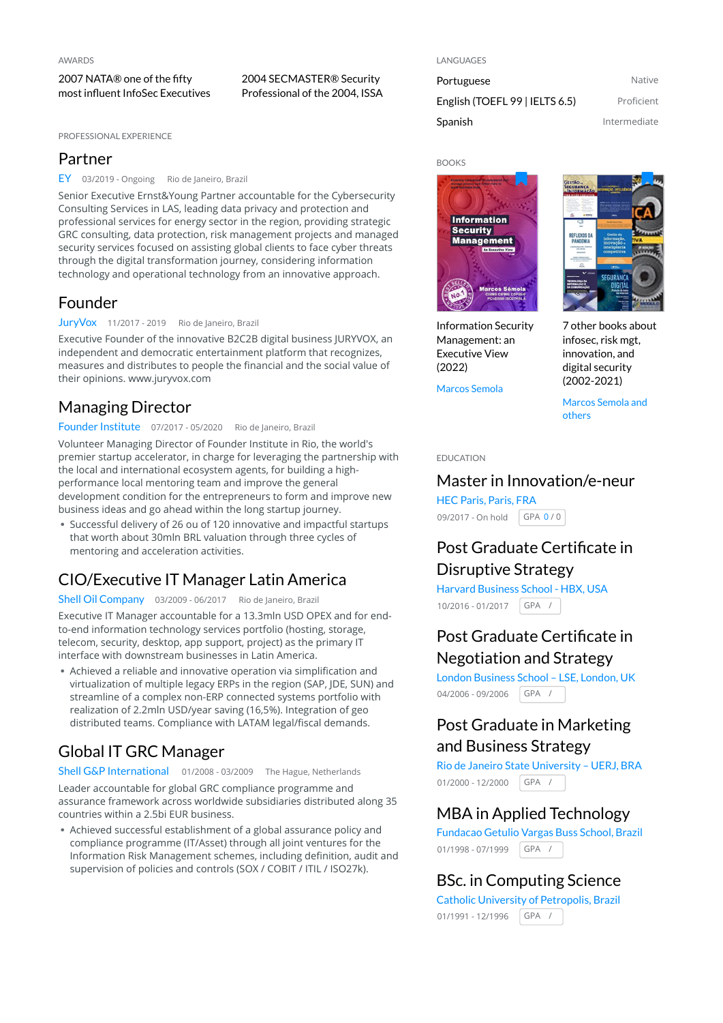2007 NATA® one of the fifty most influent InfoSec Executives

PROFESSIONAL EXPERIENCE

### Partner

EY 03/2019 - Ongoing Rio de Janeiro, Brazil

Senior Executive Ernst&Young Partner accountable for the Cybersecurity Consulting Services in LAS, leading data privacy and protection and professional services for energy sector in the region, providing strategic GRC consulting, data protection, risk management projects and managed security services focused on assisting global clients to face cyber threats through the digital transformation journey, considering information technology and operational technology from an innovative approach.

2004 SECMASTER® Security Professional of the 2004, ISSA

### Founder

JuryVox 11/2017 - 2019 Rio de Janeiro, Brazil

Executive Founder of the innovative B2C2B digital business JURYVOX, an independent and democratic entertainment platform that recognizes, measures and distributes to people the financial and the social value of their opinions. [www.juryvox.com](https://www.juryvox.com/)

# Managing Director

#### Founder Institute 07/2017 - 05/2020 Rio de Janeiro, Brazil

Volunteer Managing Director of Founder Institute in Rio, the world's premier startup accelerator, in charge for leveraging the partnership with the local and international ecosystem agents, for building a highperformance local mentoring team and improve the general development condition for the entrepreneurs to form and improve new business ideas and go ahead within the long startup journey.

- Successful delivery of 26 ou of 120 innovative and impactful startups that worth about 30mln BRL valuation through three cycles of mentoring and acceleration activities.

# CIO/Executive IT Manager Latin America

Shell Oil Company 03/2009 - 06/2017 Rio de Janeiro, Brazil

Executive IT Manager accountable for a 13.3mln USD OPEX and for endto-end information technology services portfolio (hosting, storage, telecom, security, desktop, app support, project) as the primary IT interface with downstream businesses in Latin America.

- Achieved a reliable and innovative operation via simplification and virtualization of multiple legacy ERPs in the region (SAP, JDE, SUN) and streamline of a complex non-ERP connected systems portfolio with realization of 2.2mln USD/year saving (16,5%). Integration of geo distributed teams. Compliance with LATAM legal/fiscal demands.

# Global IT GRC Manager

Shell G&P International 01/2008 - 03/2009 The Hague, Netherlands

Leader accountable for global GRC compliance programme and assurance framework across worldwide subsidiaries distributed along 35 countries within a 2.5bi EUR business.

- Achieved successful establishment of a global assurance policy and compliance programme (IT/Asset) through all joint ventures for the Information Risk Management schemes, including definition, audit and supervision of policies and controls (SOX / COBIT / ITIL / ISO27k).

#### LANGUAGES

Portuguese Native English (TOEFL 99 | IELTS 6.5) Proficient Spanish **Intermediate** 



Information Security Management: an Executive View (2022)

Marcos Semola

يعاجا **REFLEXOS D**<br>PANDEMIA SEGURANC

7 other books about infosec, risk mgt, innovation, and digital security (2002-2021)

Marcos Semola and others

### EDUCATION

### Master in Innovation/e-neur

09/2017 - On hold | GPA 0 / 0 HEC Paris, Paris, FRA

# Post Graduate Certificate in Disruptive Strategy

10/2016 - 01/2017 | GPA / Harvard Business School - HBX, USA

# Post Graduate Certificate in Negotiation and Strategy

04/2006 - 09/2006 GPA / London Business School – LSE, London, UK

# Post Graduate in Marketing and Business Strategy

01/2000 - 12/2000 GPA / Rio de Janeiro State University – UERJ, BRA

### MBA in Applied Technology

01/1998 - 07/1999 GPA / Fundacao Getulio Vargas Buss School, Brazil

### BSc. in Computing Science

01/1991 - 12/1996 GPA / Catholic University of Petropolis, Brazil